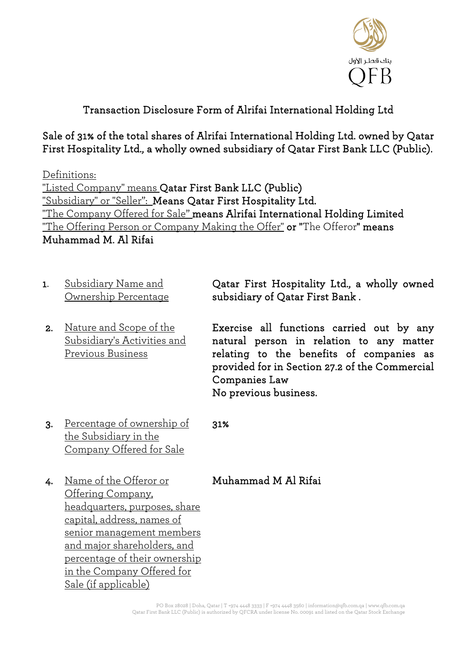

## Transaction Disclosure Form of Alrifai International Holding Ltd

Sale of 31% of the total shares of Alrifai International Holding Ltd. owned by Qatar First Hospitality Ltd., a wholly owned subsidiary of Qatar First Bank LLC (Public).

Definitions: "Listed Company" means Qatar First Bank LLC (Public) "Subsidiary" or "Seller": Means Qatar First Hospitality Ltd. "The Company Offered for Sale" means Alrifai International Holding Limited "The Offering Person or Company Making the Offer" or "The Offeror" means Muhammad M. Al Rifai

- 1. Subsidiary Name and Ownership Percentage Qatar First Hospitality Ltd., a wholly owned subsidiary of Qatar First Bank . 2. Nature and Scope of the Subsidiary's Activities and Previous Business Exercise all functions carried out by any natural person in relation to any matter relating to the benefits of companies as provided for in Section 27.2 of the Commercial
	- Companies Law No previous business.
- 3. Percentage of ownership of the Subsidiary in the Company Offered for Sale

31%

- 4. Name of the Offeror or Offering Company, headquarters, purposes, share capital, address, names of senior management members and major shareholders, and percentage of their ownership in the Company Offered for Sale (if applicable)
- Muhammad M Al Rifai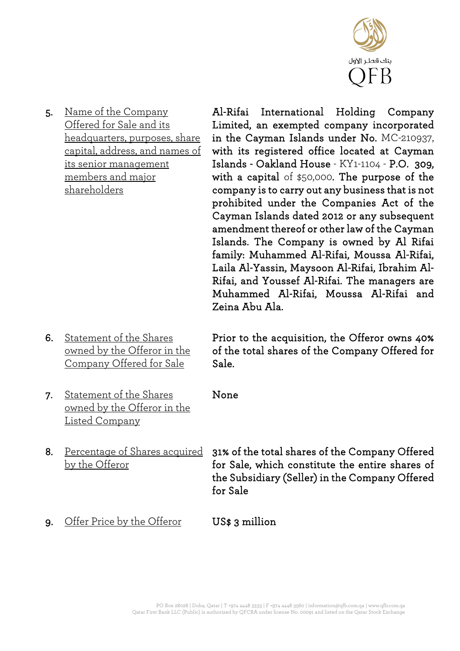

5. Name of the Company Offered for Sale and its headquarters, purposes, share capital, address, and names of its senior management members and major shareholders

Al-Rifai International Holding Company Limited, an exempted company incorporated in the Cayman Islands under No. MC-210937, with its registered office located at Cayman Islands - Oakland House - KY1-1104 - P.O. 309, with a capital of \$50,000. The purpose of the company is to carry out any business that is not prohibited under the Companies Act of the Cayman Islands dated 2012 or any subsequent amendment thereof or other law of the Cayman Islands. The Company is owned by Al Rifai family: Muhammed Al-Rifai, Moussa Al-Rifai, Laila Al-Yassin, Maysoon Al-Rifai, Ibrahim Al-Rifai, and Youssef Al-Rifai. The managers are Muhammed Al-Rifai, Moussa Al-Rifai and Zeina Abu Ala.

6. Statement of the Shares owned by the Offeror in the Company Offered for Sale Sale.

Prior to the acquisition, the Offeror owns 40% of the total shares of the Company Offered for

- 7. Statement of the Shares owned by the Offeror in the Listed Company
- by the Offeror

8. Percentage of Shares acquired 31% of the total shares of the Company Offered for Sale, which constitute the entire shares of the Subsidiary (Seller) in the Company Offered for Sale

9. Offer Price by the Offeror US\$ 3 million

None